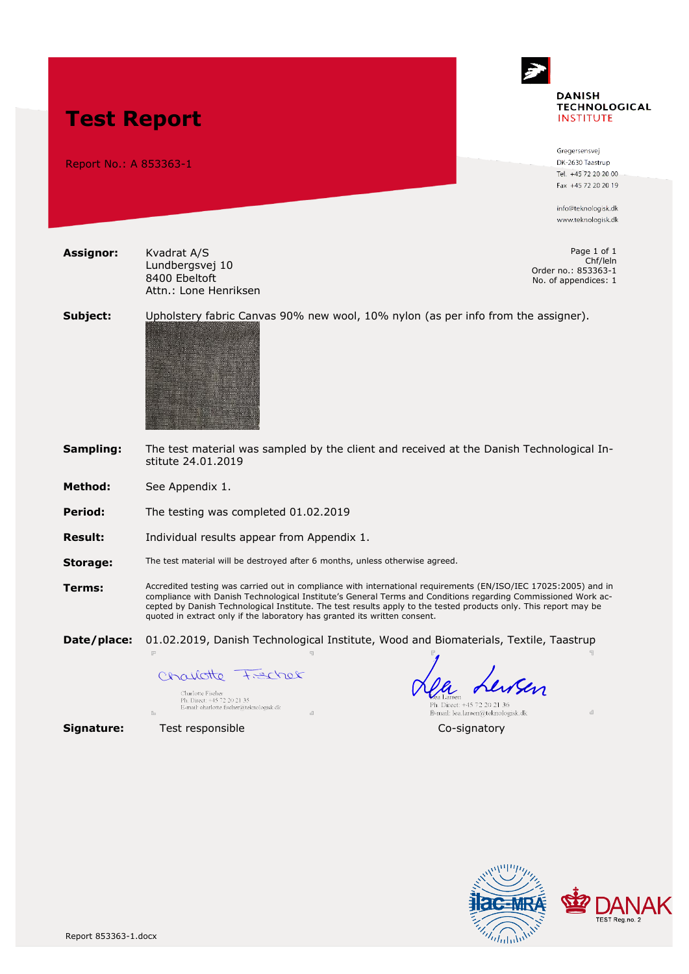

Gregersensvei DK-2630 Taastrup Tel. +45 72 20 20 00 Fax +45 72 20 20 19

info@teknologisk.dk www.teknologisk.dk

Page 1 of 1 Chf/leln Order no.: 853363-1 No. of appendices: 1

**Subject:** Upholstery fabric Canvas 90% new wool, 10% nylon (as per info from the assigner).



Lundbergsvej 10 8400 Ebeltoft

Attn.: Lone Henriksen

**Sampling:** The test material was sampled by the client and received at the Danish Technological Institute 24.01.2019

**Method:** See Appendix 1.

**Test Report**

Report No.: A 853363-1

**Assignor:** Kvadrat A/S

**Period:** The testing was completed 01.02.2019

**Result:** Individual results appear from Appendix 1.

**Storage:** The test material will be destroyed after 6 months, unless otherwise agreed.

**Terms:** Accredited testing was carried out in compliance with international requirements (EN/ISO/IEC 17025:2005) and in compliance with Danish Technological Institute's General Terms and Conditions regarding Commissioned Work accepted by Danish Technological Institute. The test results apply to the tested products only. This report may be quoted in extract only if the laboratory has granted its written consent.

**Date/place:** 01.02.2019, Danish Technological Institute, Wood and Biomaterials, Textile, Taastrup

Charlotte Frecher

Charlotte Fischer<br>Ph. Direct: +45 72 20 21 35<br>E-mail: charlotte.fischer@teknologisk.dk

Lewsen Ph. Direct: +45 72 20 21 36

E-mail: lea.larsen@teknologisk.dk **Signature:** Test responsible Co-signatory